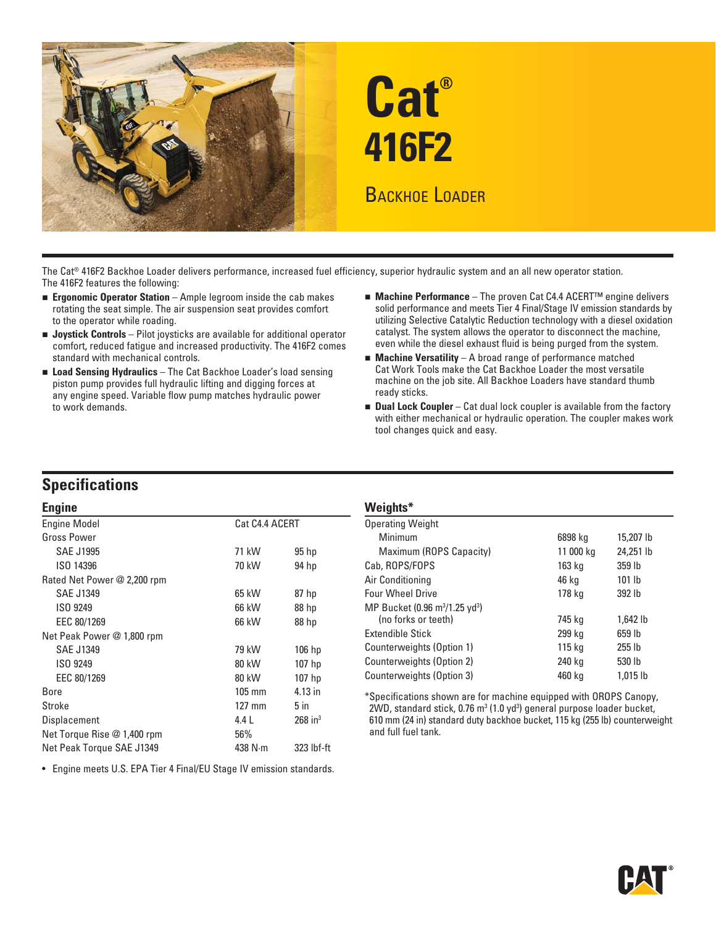

# **Cat® 416F2**  BACKHOE LOADER

The Cat® 416F2 Backhoe Loader delivers performance, increased fuel efficiency, superior hydraulic system and an all new operator station. The 416F2 features the following:

- **Exponomic Operator Station** Ample legroom inside the cab makes rotating the seat simple. The air suspension seat provides comfort to the operator while roading.
- **Joystick Controls** Pilot joysticks are available for additional operator comfort, reduced fatigue and increased productivity. The 416F2 comes standard with mechanical controls.
- **Load Sensing Hydraulics** The Cat Backhoe Loader's load sensing piston pump provides full hydraulic lifting and digging forces at any engine speed. Variable flow pump matches hydraulic power to work demands.
- **Machine Performance** The proven Cat C4.4 ACERT<sup>™</sup> engine delivers solid performance and meets Tier 4 Final/Stage IV emission standards by utilizing Selective Catalytic Reduction technology with a diesel oxidation catalyst. The system allows the operator to disconnect the machine, even while the diesel exhaust fluid is being purged from the system.
- **Machine Versatility** A broad range of performance matched Cat Work Tools make the Cat Backhoe Loader the most versatile machine on the job site. All Backhoe Loaders have standard thumb ready sticks.
- **Dual Lock Coupler** Cat dual lock coupler is available from the factory with either mechanical or hydraulic operation. The coupler makes work tool changes quick and easy.

### **Specifications**

| <b>Engine</b>                                         |                  |                                                                        | Weights*                                                                                                                                                               |           |                   |  |  |
|-------------------------------------------------------|------------------|------------------------------------------------------------------------|------------------------------------------------------------------------------------------------------------------------------------------------------------------------|-----------|-------------------|--|--|
| <b>Engine Model</b>                                   | Cat C4.4 ACERT   |                                                                        | <b>Operating Weight</b>                                                                                                                                                |           |                   |  |  |
| <b>Gross Power</b>                                    |                  |                                                                        | <b>Minimum</b>                                                                                                                                                         | 6898 kg   | 15,207 lb         |  |  |
| <b>SAE J1995</b>                                      | 71 kW            | 95 hp                                                                  | Maximum (ROPS Capacity)                                                                                                                                                | 11 000 kg | 24,251 lb         |  |  |
| ISO 14396                                             | 70 kW            | 94 hp                                                                  | Cab, ROPS/FOPS                                                                                                                                                         | 163 kg    | 359 lb            |  |  |
| Rated Net Power @ 2,200 rpm                           |                  |                                                                        | Air Conditioning                                                                                                                                                       | 46 kg     | 101 <sub>lb</sub> |  |  |
| <b>SAE J1349</b>                                      | 65 kW            | 87 <sub>hp</sub>                                                       | <b>Four Wheel Drive</b>                                                                                                                                                | 178 kg    | 392 lb            |  |  |
| ISO 9249                                              | 66 kW            | 88 hp                                                                  | MP Bucket (0.96 m <sup>3</sup> /1.25 yd <sup>3</sup> )                                                                                                                 |           |                   |  |  |
| EEC 80/1269                                           | 66 kW            | 88 hp                                                                  | (no forks or teeth)                                                                                                                                                    | 745 kg    | 1,642 lb          |  |  |
| Net Peak Power @ 1,800 rpm                            |                  |                                                                        | <b>Extendible Stick</b>                                                                                                                                                | 299 kg    | 659 lb            |  |  |
| <b>SAE J1349</b>                                      | 79 kW            | $106$ hp                                                               | Counterweights (Option 1)                                                                                                                                              | $115$ kg  | 255 lb            |  |  |
| ISO 9249                                              | 80 kW            | 107 <sub>hp</sub>                                                      | Counterweights (Option 2)                                                                                                                                              | 240 kg    | 530 lb            |  |  |
| EEC 80/1269                                           | 80 kW            | 107 <sub>hp</sub>                                                      | Counterweights (Option 3)                                                                                                                                              | 460 kg    | 1,015 lb          |  |  |
| <b>Bore</b>                                           | $105$ mm         | $4.13$ in                                                              | *Specifications shown are for machine equipped with OROPS Canopy,<br>$2WD$ , standard stick, 0.76 m <sup>3</sup> (1.0 yd <sup>3</sup> ) general purpose loader bucket, |           |                   |  |  |
| Stroke                                                | $127 \text{ mm}$ | $5$ in                                                                 |                                                                                                                                                                        |           |                   |  |  |
| $268$ in <sup>3</sup><br><b>Displacement</b><br>4.4 L |                  | 610 mm (24 in) standard duty backhoe bucket, 115 kg (255 lb) counterwe |                                                                                                                                                                        |           |                   |  |  |
| Net Torque Rise @ 1,400 rpm                           | 56%              |                                                                        | and full fuel tank.                                                                                                                                                    |           |                   |  |  |
| Net Peak Torque SAE J1349                             | 438 $N \cdot m$  | 323 lbf-ft                                                             |                                                                                                                                                                        |           |                   |  |  |

| -------                     |                |                   |                                                        |           |                     |  |  |
|-----------------------------|----------------|-------------------|--------------------------------------------------------|-----------|---------------------|--|--|
| <b>Engine Model</b>         | Cat C4.4 ACERT |                   | Operating Weight                                       |           |                     |  |  |
| Gross Power                 |                |                   | Minimum                                                | 6898 kg   | 15,207 lb           |  |  |
| SAE J1995                   | 71 kW          | 95 <sub>hp</sub>  | Maximum (ROPS Capacity)                                | 11 000 kg | 24,251 lb           |  |  |
| ISO 14396                   | 70 kW          | 94 hp             | Cab, ROPS/FOPS                                         | 163 kg    | 359 lb              |  |  |
| Rated Net Power @ 2,200 rpm |                |                   | Air Conditioning                                       | 46 kg     | $101$ lb            |  |  |
| <b>SAE J1349</b>            | 65 kW          | 87 <sub>h</sub>   | <b>Four Wheel Drive</b>                                | 178 kg    | 392 lb              |  |  |
| ISO 9249                    | 66 kW          | 88 hp             | MP Bucket (0.96 m <sup>3</sup> /1.25 yd <sup>3</sup> ) |           |                     |  |  |
| EEC 80/1269                 | 66 kW          | 88 hp             | (no forks or teeth)                                    | 745 kg    | 1,642 lb            |  |  |
| Net Peak Power @ 1,800 rpm  |                |                   | Extendible Stick                                       | 299 kg    | 659 lb              |  |  |
| <b>SAE J1349</b>            | 79 kW          | $106$ hp          | Counterweights (Option 1)                              | 115 kg    | $255$ $\mathsf{lb}$ |  |  |
| ISO 9249                    | 80 kW          | 107 <sub>hp</sub> | Counterweights (Option 2)                              | 240 kg    | 530 lb              |  |  |
| EEC 80/1269                 | 80 kW          | 107 <sub>hp</sub> | Counterweights (Option 3)                              | 460 kg    | 1,015 lb            |  |  |

610 mm (24 in) standard duty backhoe bucket, 115 kg (255 lb) counterweight and full fuel tank.

• Engine meets U.S. EPA Tier 4 Final/EU Stage IV emission standards.

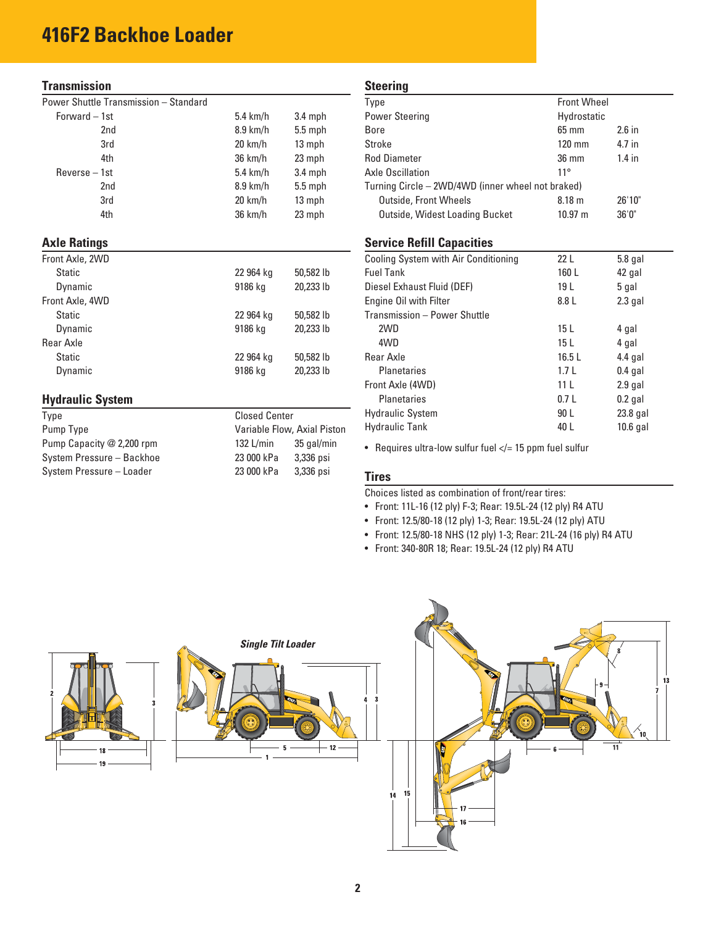## **416F2 Backhoe Loader**

#### **Transmission**

| Power Shuttle Transmission - Standard |
|---------------------------------------|
|---------------------------------------|

| Power Shuttle Transmission – Standard    |                      |            |  |
|------------------------------------------|----------------------|------------|--|
| Forward - 1st                            | $5.4$ km/h           | $3.4$ mph  |  |
| 2nd                                      | $8.9$ km/h           | $5.5$ mph  |  |
| 3rd                                      | $20 \text{ km/h}$    | 13 mph     |  |
| 4th                                      | 36 km/h              | 23 mph     |  |
| $Reverse - 1st$                          | $5.4$ km/h           | $3.4$ mph  |  |
| 2nd                                      | $8.9$ km/h           | $5.5$ mph  |  |
| 3rd                                      | 20 km/h              | 13 mph     |  |
| 4th                                      | 36 km/h              | 23 mph     |  |
| <b>Axle Ratings</b>                      |                      |            |  |
| Front Axle, 2WD                          |                      |            |  |
| <b>Static</b>                            | 22 964 kg            | 50.582 lb  |  |
| Dynamic                                  | 9186 kg              | 20,233 lb  |  |
| Front Axle, 4WD                          |                      |            |  |
| <b>Static</b>                            | 22 964 kg            | 50,582 lb  |  |
| Dynamic                                  | 9186 kg              | 20,233 lb  |  |
| Rear Axle                                |                      |            |  |
| <b>Static</b>                            | 22 964 kg            | 50,582 lb  |  |
| Dynamic                                  | 9186 kg              | 20,233 lb  |  |
| <b>Hydraulic System</b>                  |                      |            |  |
| Type                                     | <b>Closed Center</b> |            |  |
| Pump Type<br>Variable Flow, Axial Piston |                      |            |  |
| Pump Capacity @ 2,200 rpm                | 132 L/min            | 35 gal/min |  |
| System Pressure - Backhoe                | 23 000 kPa           | 3.336 psi  |  |

System Pressure – Loader 23 000 kPa 3,336 psi

#### **Steering**

| 00001111                                          |                    |          |  |
|---------------------------------------------------|--------------------|----------|--|
| Type                                              | <b>Front Wheel</b> |          |  |
| <b>Power Steering</b>                             | Hydrostatic        |          |  |
| <b>Bore</b>                                       | $65 \text{ mm}$    | $2.6$ in |  |
| Stroke                                            | $120 \text{ mm}$   | 4.7 in   |  |
| <b>Rod Diameter</b>                               | $36 \text{ mm}$    | $1.4$ in |  |
| Axle Oscillation                                  | $11^{\circ}$       |          |  |
| Turning Circle - 2WD/4WD (inner wheel not braked) |                    |          |  |
| <b>Outside, Front Wheels</b>                      | 8.18 <sub>m</sub>  | 26'10"   |  |
| Outside, Widest Loading Bucket                    | $10.97 \; m$       | 36'0''   |  |

#### **Service Refill Capacities**

| Cooling System with Air Conditioning | 22 <sub>L</sub>  | $5.8$ gal  |
|--------------------------------------|------------------|------------|
| <b>Fuel Tank</b>                     | 160 L            | 42 gal     |
| Diesel Exhaust Fluid (DEF)           | 19 L             | 5 gal      |
| Engine Oil with Filter               | 8.8 L            | $2.3$ gal  |
| Transmission - Power Shuttle         |                  |            |
| 2WD                                  | 15 <sub>L</sub>  | 4 gal      |
| 4WD                                  | 15 <sub>L</sub>  | 4 gal      |
| Rear Axle                            | 16.5L            | $4.4$ gal  |
| <b>Planetaries</b>                   | 1.7 <sub>L</sub> | $0.4$ gal  |
| Front Axle (4WD)                     | 11 <sup>L</sup>  | $2.9$ gal  |
| <b>Planetaries</b>                   | 0.7L             | $0.2$ gal  |
| <b>Hydraulic System</b>              | 90 L             | $23.8$ gal |
| <b>Hydraulic Tank</b>                | 40 L             | $10.6$ gal |
|                                      |                  |            |

• Requires ultra-low sulfur fuel  $\lt/= 15$  ppm fuel sulfur

#### **Tires**

Choices listed as combination of front/rear tires:

- Front: 11L-16 (12 ply) F-3; Rear: 19.5L-24 (12 ply) R4 ATU
- Front: 12.5/80-18 (12 ply) 1-3; Rear: 19.5L-24 (12 ply) ATU
- Front: 12.5/80-18 NHS (12 ply) 1-3; Rear: 21L-24 (16 ply) R4 ATU
- Front: 340-80R 18; Rear: 19.5L-24 (12 ply) R4 ATU

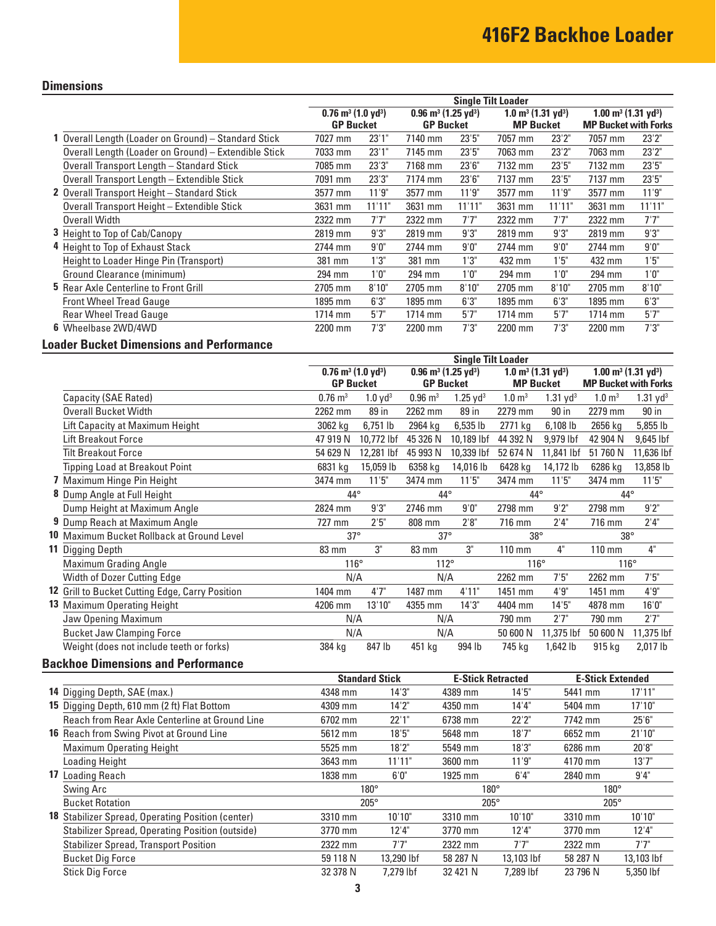#### **Dimensions**

|                                                      | <b>Single Tilt Loader</b>                    |        |                                               |        |                                           |        |                                        |        |
|------------------------------------------------------|----------------------------------------------|--------|-----------------------------------------------|--------|-------------------------------------------|--------|----------------------------------------|--------|
|                                                      | $0.76$ m <sup>3</sup> (1.0 yd <sup>3</sup> ) |        | $0.96$ m <sup>3</sup> (1.25 vd <sup>3</sup> ) |        | $1.0 \text{ m}^3$ (1.31 yd <sup>3</sup> ) |        | $1.00 \text{ m}^3 (1.31 \text{ yd}^3)$ |        |
|                                                      | <b>GP Bucket</b>                             |        | <b>GP Bucket</b>                              |        | <b>MP Bucket</b>                          |        | <b>MP Bucket with Forks</b>            |        |
| 1 Overall Length (Loader on Ground) – Standard Stick | 7027 mm                                      | 23'1"  | 7140 mm                                       | 23'5'' | 7057 mm                                   | 23'2"  | 7057 mm                                | 23'2"  |
| Overall Length (Loader on Ground) - Extendible Stick | 7033 mm                                      | 23'1'' | 7145 mm                                       | 23'5'' | 7063 mm                                   | 23'2"  | 7063 mm                                | 23'2"  |
| Overall Transport Length - Standard Stick            | 7085 mm                                      | 23'3"  | 7168 mm                                       | 23'6"  | 7132 mm                                   | 23'5'' | 7132 mm                                | 23'5'' |
| Overall Transport Length - Extendible Stick          | 7091 mm                                      | 23'3"  | 7174 mm                                       | 23'6'' | 7137 mm                                   | 23'5'' | 7137 mm                                | 23'5'' |
| 2 Overall Transport Height - Standard Stick          | 3577 mm                                      | 11'9"  | 3577 mm                                       | 11'9"  | 3577 mm                                   | 11'9"  | 3577 mm                                | 11'9"  |
| Overall Transport Height - Extendible Stick          | 3631 mm                                      | 11'11" | 3631 mm                                       | 11'11" | 3631 mm                                   | 11'11" | 3631 mm                                | 11'11" |
| <b>Overall Width</b>                                 | 2322 mm                                      | 7'7''  | 2322 mm                                       | 7'7"   | 2322 mm                                   | 7'7''  | 2322 mm                                | 7'7"   |
| <b>3</b> Height to Top of Cab/Canopy                 | 2819 mm                                      | 9'3''  | 2819 mm                                       | 9'3''  | 2819 mm                                   | 9'3''  | 2819 mm                                | 9'3''  |
| 4 Height to Top of Exhaust Stack                     | 2744 mm                                      | 9'0''  | 2744 mm                                       | 9'0"   | 2744 mm                                   | 9'0''  | 2744 mm                                | 9'0"   |
| Height to Loader Hinge Pin (Transport)               | 381 mm                                       | 1'3"   | 381 mm                                        | 1'3"   | 432 mm                                    | 1'5"   | 432 mm                                 | 1'5"   |
| Ground Clearance (minimum)                           | 294 mm                                       | 1'0''  | 294 mm                                        | 1'0''  | 294 mm                                    | 1'0''  | 294 mm                                 | 1'0''  |
| <b>5</b> Rear Axle Centerline to Front Grill         | 2705 mm                                      | 8'10"  | 2705 mm                                       | 8'10"  | 2705 mm                                   | 8'10"  | 2705 mm                                | 8'10"  |
| <b>Front Wheel Tread Gauge</b>                       | 1895 mm                                      | 6'3''  | 1895 mm                                       | 6'3''  | 1895 mm                                   | 6'3''  | 1895 mm                                | 6'3''  |
| <b>Rear Wheel Tread Gauge</b>                        | 1714 mm                                      | 5'7''  | 1714 mm                                       | 5'7''  | $1714$ mm                                 | 5'7''  | $1714$ mm                              | 5'7''  |
| 6 Wheelbase 2WD/4WD                                  | 2200 mm                                      | 7'3''  | 2200 mm                                       | 7'3''  | 2200 mm                                   | 7'3''  | 2200 mm                                | 7'3''  |

#### **Loader Bucket Dimensions and Performance**

|                                                 |                                                                  |                       |                                        |                     |                   |                                           |                                        | <b>Single Tilt Loader</b> |  |  |  |  |  |  |
|-------------------------------------------------|------------------------------------------------------------------|-----------------------|----------------------------------------|---------------------|-------------------|-------------------------------------------|----------------------------------------|---------------------------|--|--|--|--|--|--|
|                                                 | $0.76$ m <sup>3</sup> (1.0 yd <sup>3</sup> )<br><b>GP Bucket</b> |                       | $0.96 \text{ m}^3 (1.25 \text{ yd}^3)$ |                     |                   | $1.0 \text{ m}^3$ (1.31 yd <sup>3</sup> ) | $1.00 \text{ m}^3 (1.31 \text{ yd}^3)$ |                           |  |  |  |  |  |  |
|                                                 |                                                                  |                       | <b>GP Bucket</b>                       |                     | <b>MP Bucket</b>  |                                           | <b>MP Bucket with Forks</b>            |                           |  |  |  |  |  |  |
| Capacity (SAE Rated)                            | $0.76 \text{ m}^3$                                               | $1.0$ yd <sup>3</sup> | $0.96 \text{ m}^3$                     | $1.25 \text{ yd}^3$ | $1.0 \text{ m}^3$ | $1.31$ yd <sup>3</sup>                    | $1.0 \; \mathrm{m}^3$                  | $1.31$ yd <sup>3</sup>    |  |  |  |  |  |  |
| <b>Overall Bucket Width</b>                     | 2262 mm                                                          | 89 in                 | 2262 mm                                | 89 in               | 2279 mm           | 90 in                                     | 2279 mm                                | 90 in                     |  |  |  |  |  |  |
| Lift Capacity at Maximum Height                 | 3062 kg                                                          | $6,751$ lb            | 2964 kg                                | $6,535$ lb          | 2771 kg           | 6,108 lb                                  | 2656 kg                                | 5,855 lb                  |  |  |  |  |  |  |
| Lift Breakout Force                             | 47 919 N                                                         | 10,772 lbf            | 45 326 N                               | 10,189 lbf          | 44 392 N          | 9,979 lbf                                 | 42 904 N                               | 9,645 lbf                 |  |  |  |  |  |  |
| Tilt Breakout Force                             | 54 629 N                                                         | 12,281 lbf            | 45 993 N                               | 10,339 lbf          | 52 674 N          | 11,841 lbf                                | 51 760 N                               | 11,636 lbf                |  |  |  |  |  |  |
| Tipping Load at Breakout Point                  | 6831 kg                                                          | 15,059 lb             | 6358 kg                                | 14,016 lb           | 6428 kg           | 14,172 lb                                 | 6286 kg                                | 13,858 lb                 |  |  |  |  |  |  |
| 7 Maximum Hinge Pin Height                      | 3474 mm                                                          | 11'5"                 | 3474 mm                                | 11'5''              | 3474 mm           | 11'5"                                     | 3474 mm                                | 11'5''                    |  |  |  |  |  |  |
| 8 Dump Angle at Full Height                     | 44°                                                              |                       |                                        | 44°                 |                   | $44^{\circ}$                              | 44°                                    |                           |  |  |  |  |  |  |
| Dump Height at Maximum Angle                    | 2824 mm                                                          | 9'3''                 | 2746 mm                                | 9'0''               | 2798 mm           | 9'2"                                      | 2798 mm                                | 9'2"                      |  |  |  |  |  |  |
| <b>9</b> Dump Reach at Maximum Angle            | 727 mm                                                           | 2'5''                 | 808 mm                                 | 2'8"                | 716 mm            | 2'4''                                     | 716 mm                                 | 2'4"                      |  |  |  |  |  |  |
| 10 Maximum Bucket Rollback at Ground Level      | $37^\circ$                                                       |                       | $37^\circ$                             |                     | $38^\circ$        |                                           | $38^\circ$                             |                           |  |  |  |  |  |  |
| <b>11</b> Digging Depth                         | 83 mm                                                            | 3"                    | 83 mm                                  | 3"                  | $110 \text{ mm}$  | 4"                                        | $110 \text{ mm}$                       | 4"                        |  |  |  |  |  |  |
| <b>Maximum Grading Angle</b>                    | $116^\circ$                                                      |                       | $112^\circ$                            |                     | $116^\circ$       |                                           | $116^\circ$                            |                           |  |  |  |  |  |  |
| Width of Dozer Cutting Edge                     |                                                                  | N/A                   | N/A                                    |                     | 2262 mm           | 7'5''                                     | 2262 mm                                | 7'5''                     |  |  |  |  |  |  |
| 12 Grill to Bucket Cutting Edge, Carry Position | 1404 mm                                                          | 4'7''                 | 1487 mm                                | 4'11"               | 1451 mm           | 4'9''                                     | 1451 mm                                | 4'9''                     |  |  |  |  |  |  |
| <b>13</b> Maximum Operating Height              | 4206 mm                                                          | 13'10"                | 4355 mm                                | 14'3''              | 4404 mm           | 14'5''                                    | 4878 mm                                | 16'0''                    |  |  |  |  |  |  |
| Jaw Opening Maximum                             | N/A                                                              |                       | N/A                                    |                     | 790 mm            | 2'7''                                     | 790 mm                                 | 2'7"                      |  |  |  |  |  |  |
| <b>Bucket Jaw Clamping Force</b>                | N/A                                                              |                       | N/A                                    |                     | 50 600 N          | 11,375 lbf                                | 50 600 N                               | 11,375 lbf                |  |  |  |  |  |  |
| Weight (does not include teeth or forks)        | 384 kg                                                           | 847 lb                | 451 kg                                 | 994 lb              | 745 kg            | 1,642 lb                                  | 915 kg                                 | 2,017 lb                  |  |  |  |  |  |  |
|                                                 |                                                                  |                       |                                        |                     |                   |                                           |                                        |                           |  |  |  |  |  |  |

#### **Backhoe Dimensions and Performance**

|                        | <b>Standard Stick</b>                                                                                                                                                                                                                                                                                                                                                                                                                                                                             |            | <b>E-Stick Retracted</b>   |            | <b>E-Stick Extended</b> |             |
|------------------------|---------------------------------------------------------------------------------------------------------------------------------------------------------------------------------------------------------------------------------------------------------------------------------------------------------------------------------------------------------------------------------------------------------------------------------------------------------------------------------------------------|------------|----------------------------|------------|-------------------------|-------------|
|                        | 4348 mm                                                                                                                                                                                                                                                                                                                                                                                                                                                                                           | 14'3''     | 4389 mm                    | 14'5"      | 5441 mm                 | 17'11"      |
|                        | 4309 mm                                                                                                                                                                                                                                                                                                                                                                                                                                                                                           | 14'2''     | 4350 mm                    | 14'4"      | 5404 mm                 | 17'10"      |
|                        | 6702 mm                                                                                                                                                                                                                                                                                                                                                                                                                                                                                           | 22'1"      | 6738 mm                    | 22'2"      | 7742 mm                 | 25'6''      |
|                        | 5612 mm                                                                                                                                                                                                                                                                                                                                                                                                                                                                                           | 18'5''     | 5648 mm                    | 18'7''     | 6652 mm                 | 21'10"      |
|                        | 5525 mm                                                                                                                                                                                                                                                                                                                                                                                                                                                                                           | 18'2"      | 5549 mm                    | 18'3''     | 6286 mm                 | 20'8"       |
|                        | 3643 mm                                                                                                                                                                                                                                                                                                                                                                                                                                                                                           | 11'11"     | 3600 mm                    | 11'9"      | 4170 mm                 | 13'7''      |
|                        | 1838 mm                                                                                                                                                                                                                                                                                                                                                                                                                                                                                           | 6'0''      | 1925 mm                    | 6'4''      | 2840 mm                 | 9'4"        |
|                        |                                                                                                                                                                                                                                                                                                                                                                                                                                                                                                   |            |                            |            |                         |             |
|                        |                                                                                                                                                                                                                                                                                                                                                                                                                                                                                                   |            | $205^\circ$                |            | $205^\circ$             |             |
|                        | 3310 mm                                                                                                                                                                                                                                                                                                                                                                                                                                                                                           | 10'10"     | 3310 mm                    | 10'10"     | 3310 mm                 | 10'10"      |
|                        | 3770 mm                                                                                                                                                                                                                                                                                                                                                                                                                                                                                           | 12'4"      | 3770 mm                    | 12'4"      | 3770 mm                 | 12'4"       |
|                        | 2322 mm                                                                                                                                                                                                                                                                                                                                                                                                                                                                                           | 7'7''      | 2322 mm                    | 7'7"       | 2322 mm                 | 7'7"        |
|                        | 59 118 N                                                                                                                                                                                                                                                                                                                                                                                                                                                                                          | 13,290 lbf | 58 287 N                   | 13,103 lbf | 58 287 N                | 13,103 lbf  |
| <b>Stick Dig Force</b> | 32 378 N                                                                                                                                                                                                                                                                                                                                                                                                                                                                                          | 7.279 lbf  | 32 421 N                   | 7.289 lbf  | 23 796 N                | 5.350 lbf   |
|                        | 14 Digging Depth, SAE (max.)<br>15 Digging Depth, 610 mm (2 ft) Flat Bottom<br>Reach from Rear Axle Centerline at Ground Line<br><b>16</b> Reach from Swing Pivot at Ground Line<br><b>Maximum Operating Height</b><br>Loading Height<br>17 Loading Reach<br>Swing Arc<br><b>Bucket Rotation</b><br><b>18</b> Stabilizer Spread, Operating Position (center)<br><b>Stabilizer Spread, Operating Position (outside)</b><br><b>Stabilizer Spread, Transport Position</b><br><b>Bucket Dig Force</b> |            | $180^\circ$<br>$205^\circ$ |            | $180^\circ$             | $180^\circ$ |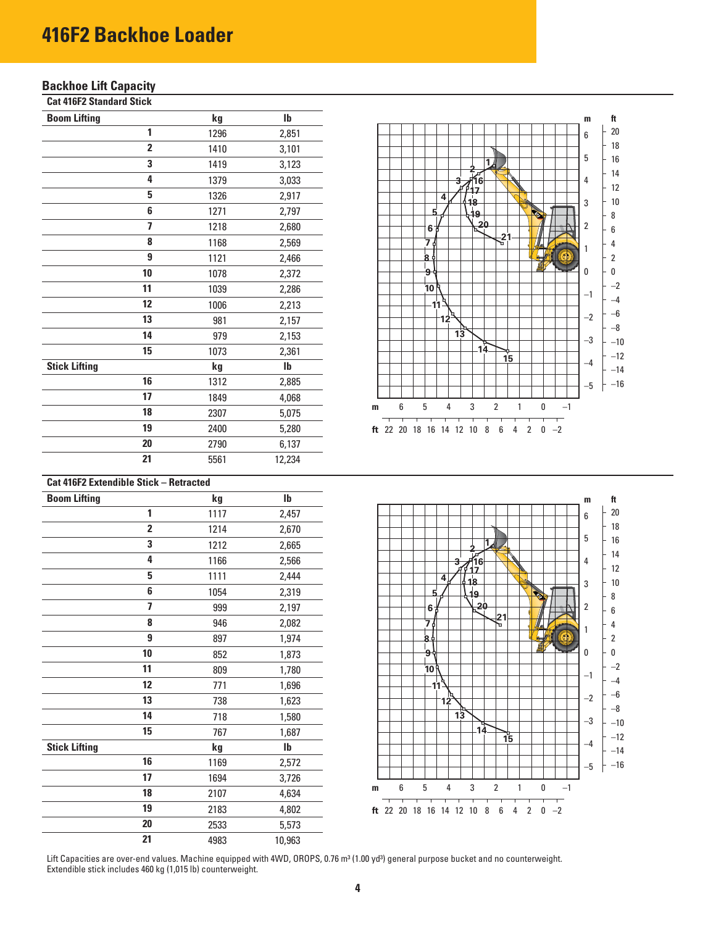### **416F2 Backhoe Loader**

#### **Backhoe Lift Capacity**

**Cat 416F2 Standard Stick** 

| <b>Boom Lifting</b>  |                         | kg   | $\mathbf{I}$ |
|----------------------|-------------------------|------|--------------|
|                      | 1                       | 1296 | 2,851        |
|                      | $\overline{\mathbf{2}}$ | 1410 | 3,101        |
|                      | 3                       | 1419 | 3,123        |
|                      | 4                       | 1379 | 3,033        |
|                      | $\overline{\mathbf{5}}$ | 1326 | 2,917        |
|                      | 6                       | 1271 | 2,797        |
|                      | 7                       | 1218 | 2,680        |
|                      | 8                       | 1168 | 2,569        |
|                      | 9                       | 1121 | 2,466        |
|                      | 10                      | 1078 | 2,372        |
|                      | 11                      | 1039 | 2,286        |
|                      | 12                      | 1006 | 2,213        |
|                      | 13                      | 981  | 2,157        |
|                      | 14                      | 979  | 2,153        |
|                      | 15                      | 1073 | 2,361        |
| <b>Stick Lifting</b> |                         | kg   | $\mathbf{I}$ |
|                      | 16                      | 1312 | 2,885        |
|                      | 17                      | 1849 | 4,068        |
|                      | 18                      | 2307 | 5,075        |
|                      | 19                      | 2400 | 5,280        |
|                      | 20                      | 2790 | 6,137        |
|                      | 21                      | 5561 | 12,234       |

#### **Cat 416F2 Extendible Stick – Retracted**

| <b>Boom Lifting</b>  |                         | kg   | $\mathbf{I}$ |
|----------------------|-------------------------|------|--------------|
|                      | 1                       | 1117 | 2,457        |
|                      | $\overline{\mathbf{2}}$ | 1214 | 2,670        |
|                      | 3                       | 1212 | 2,665        |
|                      | 4                       | 1166 | 2,566        |
|                      | 5                       | 1111 | 2,444        |
|                      | 6                       | 1054 | 2,319        |
|                      | $\overline{1}$          | 999  | 2,197        |
|                      | 8                       | 946  | 2,082        |
|                      | 9                       | 897  | 1,974        |
|                      | 10                      | 852  | 1,873        |
|                      | 11                      | 809  | 1,780        |
|                      | 12                      | 771  | 1,696        |
|                      | 13                      | 738  | 1,623        |
|                      | 14                      | 718  | 1,580        |
|                      | 15                      | 767  | 1,687        |
| <b>Stick Lifting</b> |                         | kg   | $\mathbf{I}$ |
|                      | 16                      | 1169 | 2,572        |
|                      | 17                      | 1694 | 3,726        |
|                      | 18                      | 2107 | 4,634        |
|                      | 19                      | 2183 | 4,802        |
|                      | 20                      | 2533 | 5,573        |
|                      | 21                      | 4983 | 10,963       |





Lift Capacities are over-end values. Machine equipped with 4WD, OROPS, 0.76 m<sup>3</sup> (1.00 yd<sup>3</sup>) general purpose bucket and no counterweight. Extendible stick includes 460 kg (1,015 lb) counterweight.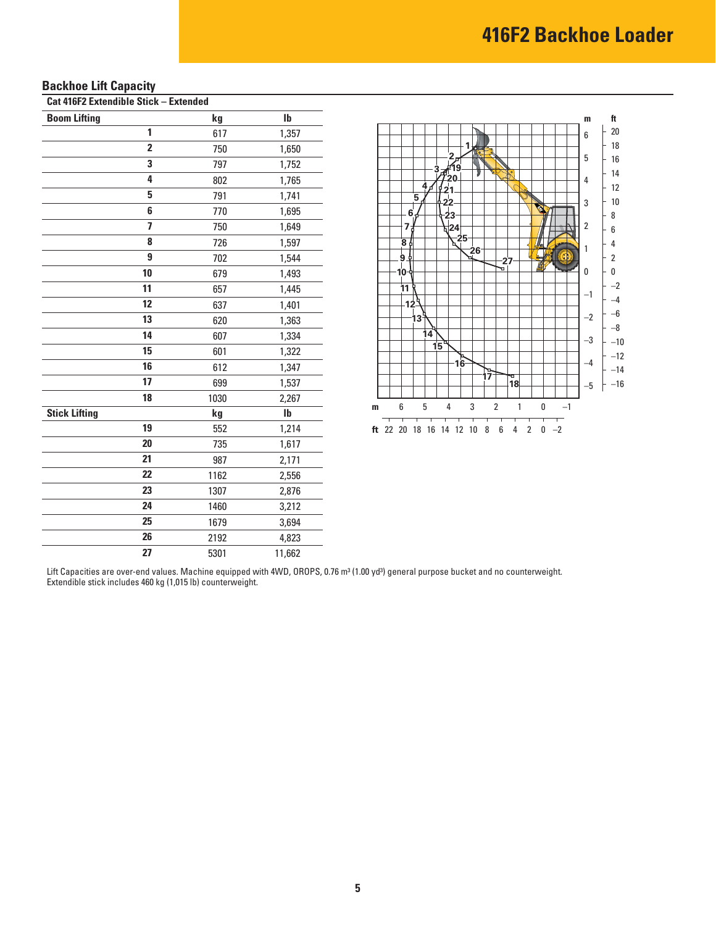### **Backhoe Lift Capacity**

**Cat 416F2 Extendible Stick – Extended** 

| <b>Boom Lifting</b>     | kg   | lb     |
|-------------------------|------|--------|
| 1                       | 617  | 1,357  |
| $\overline{2}$          | 750  | 1,650  |
| 3                       | 797  | 1,752  |
| 4                       | 802  | 1,765  |
| 5                       | 791  | 1,741  |
| 6                       | 770  | 1,695  |
| $\overline{\mathbf{z}}$ | 750  | 1,649  |
| 8                       | 726  | 1,597  |
| 9                       | 702  | 1,544  |
| 10                      | 679  | 1,493  |
| 11                      | 657  | 1,445  |
| 12                      | 637  | 1,401  |
| 13                      | 620  | 1,363  |
| 14                      | 607  | 1,334  |
| 15                      | 601  | 1,322  |
| 16                      | 612  | 1,347  |
| 17                      | 699  | 1,537  |
| 18                      | 1030 | 2,267  |
| <b>Stick Lifting</b>    | kg   | Ib     |
| 19                      | 552  | 1,214  |
| 20                      | 735  | 1,617  |
| 21                      | 987  | 2,171  |
| 22                      | 1162 | 2,556  |
| 23                      | 1307 | 2,876  |
| 24                      | 1460 | 3,212  |
| 25                      | 1679 | 3,694  |
| 26                      | 2192 | 4,823  |
| 27                      | 5301 | 11,662 |



Lift Capacities are over-end values. Machine equipped with 4WD, OROPS, 0.76 m3 (1.00 yd3) general purpose bucket and no counterweight. Extendible stick includes 460 kg (1,015 lb) counterweight.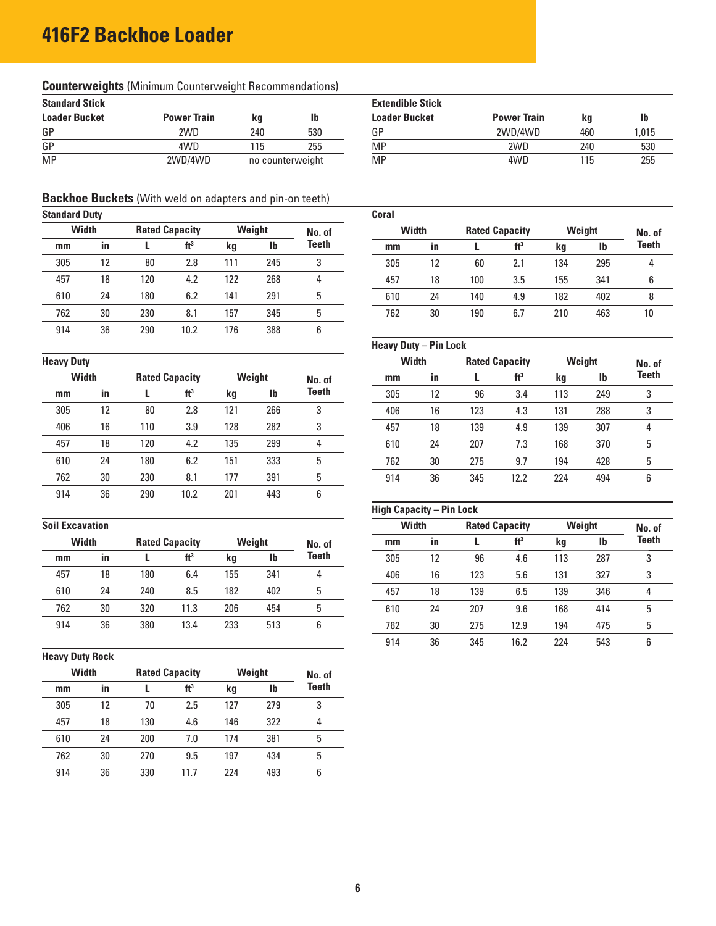# **416F2 Backhoe Loader**

### **Counterweights** (Minimum Counterweight Recommendations)

| <b>Standard Stick</b> |                    |     |                  | <b>Extendible Stick</b> |                    |     |      |
|-----------------------|--------------------|-----|------------------|-------------------------|--------------------|-----|------|
| <b>Loader Bucket</b>  | <b>Power Train</b> | ka  | Ib               | <b>Loader Bucket</b>    | <b>Power Train</b> | ka  |      |
| GP                    | 2WD                | 240 | 530              | GP                      | 2WD/4WD            | 460 | ,015 |
| GP                    | 4WD                | 15  | 255              | MP                      | 2WD                | 240 | 530  |
| <b>MP</b>             | 2WD/4WD            |     | no counterweight | MP                      | 4WD                | 115 | 255  |

#### **Backhoe Buckets** (With weld on adapters and pin-on teeth)

| <b>Standard Duty</b> |              |     |                       |     |        |        | Coral |              |                                 |                 |     |              |      |
|----------------------|--------------|-----|-----------------------|-----|--------|--------|-------|--------------|---------------------------------|-----------------|-----|--------------|------|
|                      | <b>Width</b> |     | <b>Rated Capacity</b> |     | Weight | No. of |       | <b>Width</b> | Weight<br><b>Rated Capacity</b> |                 | No. |              |      |
| mm                   | -in          |     | ft <sup>3</sup>       | kg  | Ib     | Teeth  | mm    | <b>in</b>    |                                 | ft <sup>3</sup> | kg  | $\mathbf{I}$ | Teet |
| 305                  | 12           | 80  | 2.8                   | 111 | 245    | 3      | 305   | 12           | 60                              | 2.1             | 134 | 295          | 4    |
| 457                  | 18           | 120 | 4.2                   | 122 | 268    | 4      | 457   | 18           | 100                             | 3.5             | 155 | 341          | 6    |
| 610                  | 24           | 180 | 6.2                   | 141 | 291    | 5      | 610   | 24           | 140                             | 4.9             | 182 | 402          | 8    |
| 762                  | 30           | 230 | 8.1                   | 157 | 345    | 5      | 762   | 30           | 190                             | 6.7             | 210 | 463          | 10   |
| 914                  | 36           | 290 | 10.2                  | 176 | 388    | 6      |       |              |                                 |                 |     |              |      |
|                      |              |     |                       |     |        |        |       |              |                                 |                 |     |              |      |

| <b>Heavy Duty</b> |              |     |                       |     |           |        | Width |    |     | <b>Rated Capacity</b> | Weight |     | No. |  |
|-------------------|--------------|-----|-----------------------|-----|-----------|--------|-------|----|-----|-----------------------|--------|-----|-----|--|
|                   | <b>Width</b> |     | <b>Rated Capacity</b> |     | Weight    | No. of | mm    | in |     | ft <sup>3</sup>       | kg     | lb  | Tee |  |
| mm                | in           |     | ft <sup>3</sup>       | kg  | <b>Ib</b> | Teeth  | 305   | 12 | 96  | 3.4                   | 113    | 249 | 3   |  |
| 305               | 12           | 80  | 2.8                   | 121 | 266       | 3      | 406   | 16 | 123 | 4.3                   | 131    | 288 | 3   |  |
| 406               | 16           | 110 | 3.9                   | 128 | 282       | 3      | 457   | 18 | 139 | 4.9                   | 139    | 307 | 4   |  |
| 457               | 18           | 120 | 4.2                   | 135 | 299       | 4      | 610   | 24 | 207 | 7.3                   | 168    | 370 | 5   |  |
| 610               | 24           | 180 | 6.2                   | 151 | 333       | 5      | 762   | 30 | 275 | 9.7                   | 194    | 428 | 5   |  |
| 762               | 30           | 230 | 8.1                   | 177 | 391       | 5      | 914   | 36 | 345 | 12.2                  | 224    | 494 | 6   |  |
| 914               | 36           | 290 | 10.2                  | 201 | 443       | 6      |       |    |     |                       |        |     |     |  |

|     | <b>Width</b> |     | <b>Rated Capacity</b> |     | Weight    | No. of       | $mm$ | <b>in</b> |     | ft <sup>3</sup> | kg  | lb  | Tee     |
|-----|--------------|-----|-----------------------|-----|-----------|--------------|------|-----------|-----|-----------------|-----|-----|---------|
| mm  | in.          |     | ft <sup>3</sup>       | kg  | <b>Ib</b> | <b>Teeth</b> | 305  | 12        | 96  | 4.6             | 113 | 287 | c       |
| 457 | 18           | 180 | 6.4                   | 155 | 341       |              | 406  | 16        | 123 | 5.6             | 131 | 327 | ∘<br>ັບ |
| 610 | 24           | 240 | 8.5                   | 182 | 402       |              | 457  | 18        | 139 | 6.5             | 139 | 346 | 4       |
| 762 | 30           | 320 | 11.3                  | 206 | 454       |              | 610  | 24        | 207 | 9.6             | 168 | 414 | 5       |
| 914 | 36           | 380 | 13.4                  | 233 | 513       |              | 762  | 30        | 275 | 12.9            | 194 | 475 | ხ       |

#### **Heavy Duty Rock**

| <b>Width</b> |    |     | <b>Rated Capacity</b> |     | Weight | No. of       |  |  |
|--------------|----|-----|-----------------------|-----|--------|--------------|--|--|
| mm           | in |     | ft <sup>3</sup>       | kq  | lb     | <b>Teeth</b> |  |  |
| 305          | 12 | 70  | 2.5                   | 127 | 279    | 3            |  |  |
| 457          | 18 | 130 | 4.6                   | 146 | 322    | 4            |  |  |
| 610          | 24 | 200 | 7.0                   | 174 | 381    | 5            |  |  |
| 762          | 30 | 270 | 9.5                   | 197 | 434    | 5            |  |  |
| 914          | 36 | 330 | 11.7                  | 224 | 493    | 6            |  |  |

| ndard Duty   |     |                       |                 |        |     |        | Coral |              |     |                       |     |              |              |
|--------------|-----|-----------------------|-----------------|--------|-----|--------|-------|--------------|-----|-----------------------|-----|--------------|--------------|
| <b>Width</b> |     | <b>Rated Capacity</b> |                 | Weight |     | No. of |       | <b>Width</b> |     | <b>Rated Capacity</b> |     | Weight       |              |
| mm           | -in |                       | ft <sup>3</sup> | kg     | Ib  | Teeth  | $mm$  | -in          |     | ft <sup>3</sup>       | kg  | $\mathbf{I}$ | <b>Teeth</b> |
| 305          |     | 80                    | 2.8             | 11     | 245 |        | 305   | 12           | 60  | 2.1                   | 134 | 295          |              |
| 457          | 18  | 120                   | 4.2             | 122    | 268 | 4      | 457   | 18           | 100 | 3.5                   | 155 | 341          | b            |
| 610          | 24  | 180                   | 6.2             | 141    | 291 |        | 610   | 24           | 140 | 4.9                   | 182 | 402          |              |
| 762          | 30  | 230                   | 8.1             | 157    | 345 |        | 762   | 30           | 190 | 67                    | 210 | 463          |              |

#### **Heavy Duty – Pin Lock**

| <b>Heavy Duty</b> |     |                       |                 |        |     |        |     | <b>Width</b> |     | <b>Rated Capacity</b> | Weight          |     | No. of |
|-------------------|-----|-----------------------|-----------------|--------|-----|--------|-----|--------------|-----|-----------------------|-----------------|-----|--------|
| <b>Width</b>      |     | <b>Rated Capacity</b> |                 | Weight |     | No. of | mm  | -in          |     | ft <sup>3</sup>       | <b>Ib</b><br>kg |     | Teeth  |
| mm                | in. |                       | ft <sup>3</sup> | kg     | lb  | Teeth  | 305 | 12           | 96  | 3.4                   | 113             | 249 | 3      |
| 305               | 12  | 80                    | 2.8             | 121    | 266 | 3      | 406 | 16           | 123 | 4.3                   | 131             | 288 |        |
| 406               | 16  | 110                   | 3.9             | 128    | 282 | 3      | 457 | 18           | 139 | 4.9                   | 139             | 307 | 4      |
| 457               | 18  | 120                   | 4.2             | 135    | 299 |        | 610 | 24           | 207 | 7.3                   | 168             | 370 | 5      |
| 610               | 24  | 180                   | 6.2             | 151    | 333 | 5      | 762 | 30           | 275 | 9.7                   | 194             | 428 | b      |
| 762               | 30  | 230                   | 8.1             | 177    | 391 |        | 914 | 36           | 345 | 12.2                  | 224             | 494 |        |

### **High Capacity – Pin Lock**

| <b>Soil Excavation</b> |    |                       |                 |        |              |        |  | <b>Width</b> |    |     | <b>Rated Capacity</b> | Weight |              | No. of       |  |
|------------------------|----|-----------------------|-----------------|--------|--------------|--------|--|--------------|----|-----|-----------------------|--------|--------------|--------------|--|
| <b>Width</b>           |    | <b>Rated Capacity</b> |                 | Weight |              | No. of |  | mm           | in |     | ft <sup>3</sup>       | kg     | $\mathbf{I}$ | <b>Teeth</b> |  |
| mm                     | in |                       | ft <sup>3</sup> | kg     | $\mathbf{I}$ | Teeth  |  | 305          | 12 | 96  | 4.6                   | 113    | 287          | 3            |  |
| 457                    | 18 | 180                   | 6.4             | 155    | 341          | 4      |  | 406          | 16 | 123 | 5.6                   | 131    | 327          | 3            |  |
| 610                    | 24 | 240                   | 8.5             | 182    | 402          | 5      |  | 457          | 18 | 139 | 6.5                   | 139    | 346          | 4            |  |
| 762                    | 30 | 320                   | 11.3            | 206    | 454          | 5      |  | 610          | 24 | 207 | 9.6                   | 168    | 414          | 5            |  |
| 914                    | 36 | 380                   | 13.4            | 233    | 513          | 6      |  | 762          | 30 | 275 | 12.9                  | 194    | 475          | 5            |  |
|                        |    |                       |                 |        |              |        |  | 914          | 36 | 345 | 16.2                  | 224    | 543          | 6            |  |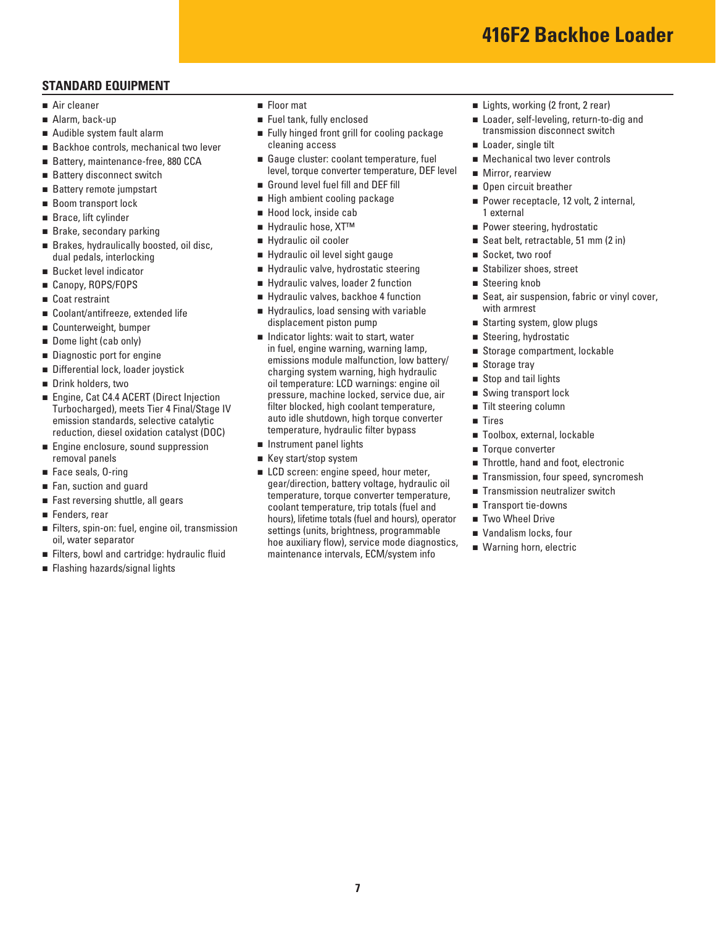#### **STANDARD EQUIPMENT**

- Air cleaner
- Alarm, back-up
- Audible system fault alarm
- Backhoe controls, mechanical two lever
- Battery, maintenance-free, 880 CCA
- Battery disconnect switch
- Battery remote jumpstart
- Boom transport lock
- Brace, lift cylinder
- Brake, secondary parking
- Brakes, hydraulically boosted, oil disc, dual pedals, interlocking
- Bucket level indicator
- Canopy, ROPS/FOPS
- Coat restraint
- Coolant/antifreeze, extended life
- Counterweight, bumper
- Dome light (cab only)
- Diagnostic port for engine
- Differential lock, loader joystick
- Drink holders, two
- Engine, Cat C4.4 ACERT (Direct Injection Turbocharged), meets Tier 4 Final/Stage IV emission standards, selective catalytic reduction, diesel oxidation catalyst (DOC)
- **Engine enclosure, sound suppression** removal panels
- Face seals, 0-ring
- Fan, suction and guard
- Fast reversing shuttle, all gears
- **Fenders**, rear
- Filters, spin-on: fuel, engine oil, transmission oil, water separator
- Filters, bowl and cartridge: hydraulic fluid
- **Flashing hazards/signal lights**
- Floor mat
- Fuel tank, fully enclosed
- **Fully hinged front grill for cooling package** cleaning access
- Gauge cluster: coolant temperature, fuel level, torque converter temperature, DEF level
- Ground level fuel fill and DEF fill
- High ambient cooling package
- Hood lock, inside cab
- Hydraulic hose, XT<sup>™</sup>
- Hydraulic oil cooler
- Hydraulic oil level sight gauge
- Hydraulic valve, hydrostatic steering
- Hydraulic valves, loader 2 function
- Hydraulic valves, backhoe 4 function
- Hydraulics, load sensing with variable displacement piston pump
- $\blacksquare$  Indicator lights: wait to start, water in fuel, engine warning, warning lamp, emissions module malfunction, low battery/ charging system warning, high hydraulic oil temperature: LCD warnings: engine oil pressure, machine locked, service due, air filter blocked, high coolant temperature, auto idle shutdown, high torque converter temperature, hydraulic filter bypass
- **n** Instrument panel lights
- Key start/stop system
- LCD screen: engine speed, hour meter, gear/direction, battery voltage, hydraulic oil temperature, torque converter temperature, coolant temperature, trip totals (fuel and hours), lifetime totals (fuel and hours), operator settings (units, brightness, programmable hoe auxiliary flow), service mode diagnostics, maintenance intervals, ECM/system info
- Lights, working (2 front, 2 rear)
- Loader, self-leveling, return-to-dig and transmission disconnect switch
- Loader, single tilt
- **Mechanical two lever controls**
- **Mirror**, rearview
- Open circuit breather
- Power receptacle, 12 volt, 2 internal, 1 external
- **Power steering, hydrostatic**
- Seat belt, retractable, 51 mm (2 in)
- Socket, two roof
- Stabilizer shoes, street
- Steering knob
- Seat, air suspension, fabric or vinyl cover, with armrest
- Starting system, glow plugs
- Steering, hydrostatic
- Storage compartment, lockable
- Storage tray
- Stop and tail lights
- Swing transport lock
- Tilt steering column
- **Tires**
- Toolbox, external, lockable
- Torque converter
- Throttle, hand and foot, electronic
- Transmission, four speed, syncromesh
- Transmission neutralizer switch
- Transport tie-downs
- Two Wheel Drive
- Vandalism locks, four
- Warning horn, electric